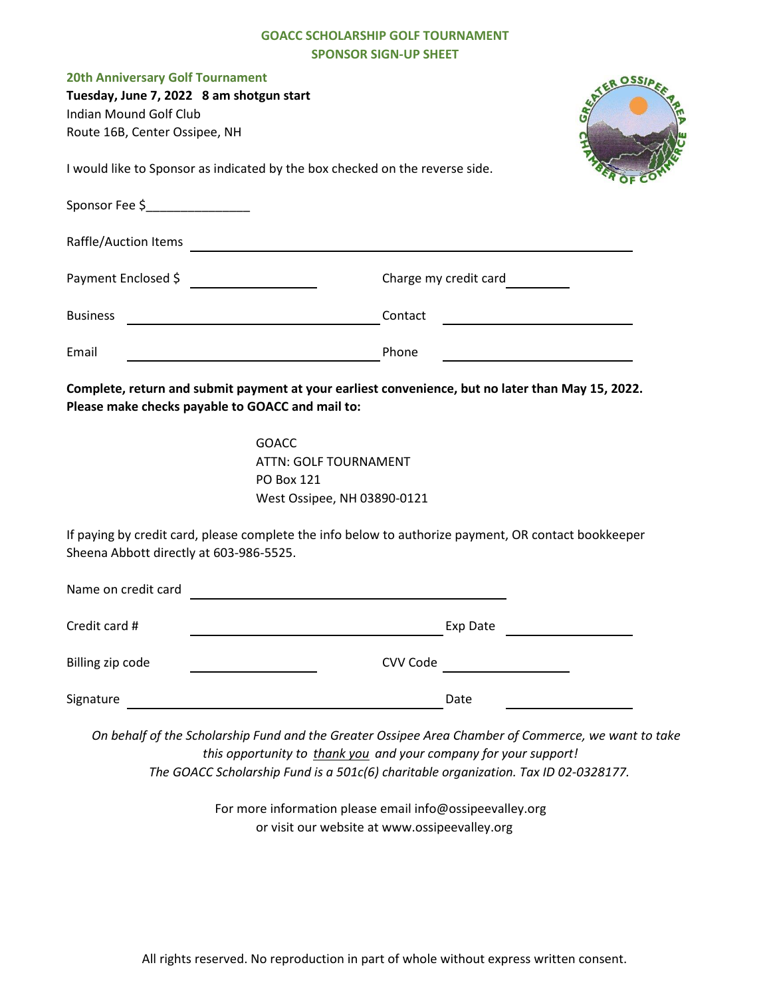## **GOACC SCHOLARSHIP GOLF TOURNAMENT SPONSOR SIGN-UP SHEET**

| <b>20th Anniversary Golf Tournament</b><br>Tuesday, June 7, 2022 8 am shotgun start<br>Indian Mound Golf Club<br>Route 16B, Center Ossipee, NH<br>I would like to Sponsor as indicated by the box checked on the reverse side.<br>Sponsor Fee \$_________________ | <b>OSSI</b>                                                                                                                                                      |
|-------------------------------------------------------------------------------------------------------------------------------------------------------------------------------------------------------------------------------------------------------------------|------------------------------------------------------------------------------------------------------------------------------------------------------------------|
| Raffle/Auction Items                                                                                                                                                                                                                                              |                                                                                                                                                                  |
| Payment Enclosed \$                                                                                                                                                                                                                                               | Charge my credit card                                                                                                                                            |
| <b>Business</b><br>the control of the control of the control of the control of the control of                                                                                                                                                                     | Contact                                                                                                                                                          |
| Email                                                                                                                                                                                                                                                             | Phone                                                                                                                                                            |
| Please make checks payable to GOACC and mail to:<br><b>GOACC</b><br><b>PO Box 121</b>                                                                                                                                                                             | Complete, return and submit payment at your earliest convenience, but no later than May 15, 2022.<br><b>ATTN: GOLF TOURNAMENT</b><br>West Ossipee, NH 03890-0121 |
| Sheena Abbott directly at 603-986-5525.                                                                                                                                                                                                                           | If paying by credit card, please complete the info below to authorize payment, OR contact bookkeeper                                                             |
| Name on credit card                                                                                                                                                                                                                                               |                                                                                                                                                                  |
| Credit card #                                                                                                                                                                                                                                                     | Exp Date                                                                                                                                                         |
| Billing zip code                                                                                                                                                                                                                                                  | CVV Code                                                                                                                                                         |
| Signature                                                                                                                                                                                                                                                         | Date                                                                                                                                                             |

 *On behalf of the Scholarship Fund and the Greater Ossipee Area Chamber of Commerce, we want to take this opportunity to thank you and your company for your support! The GOACC Scholarship Fund is a 501c(6) charitable organization. Tax ID 02-0328177.*

> For more information please email info@ossipeevalley.org or visit our website at www.ossipeevalley.org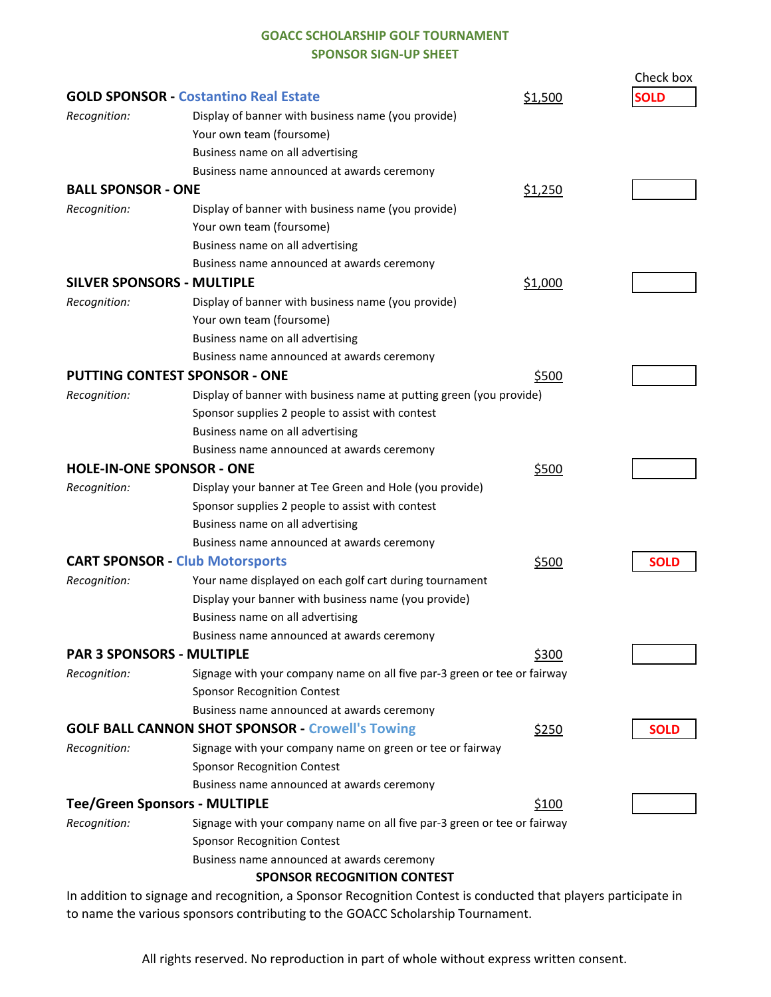## **GOACC SCHOLARSHIP GOLF TOURNAMENT SPONSOR SIGN-UP SHEET**

|                                                         |                                                                          |         | Check box   |
|---------------------------------------------------------|--------------------------------------------------------------------------|---------|-------------|
| <b>GOLD SPONSOR - Costantino Real Estate</b>            |                                                                          | \$1,500 | <b>SOLD</b> |
| Recognition:                                            | Display of banner with business name (you provide)                       |         |             |
|                                                         | Your own team (foursome)                                                 |         |             |
|                                                         | Business name on all advertising                                         |         |             |
|                                                         | Business name announced at awards ceremony                               |         |             |
| <b>BALL SPONSOR - ONE</b>                               |                                                                          | \$1,250 |             |
| Recognition:                                            | Display of banner with business name (you provide)                       |         |             |
|                                                         | Your own team (foursome)                                                 |         |             |
|                                                         | Business name on all advertising                                         |         |             |
|                                                         | Business name announced at awards ceremony                               |         |             |
| <b>SILVER SPONSORS - MULTIPLE</b>                       |                                                                          | \$1,000 |             |
| Recognition:                                            | Display of banner with business name (you provide)                       |         |             |
|                                                         | Your own team (foursome)                                                 |         |             |
|                                                         | Business name on all advertising                                         |         |             |
|                                                         | Business name announced at awards ceremony                               |         |             |
| <b>PUTTING CONTEST SPONSOR - ONE</b>                    |                                                                          | \$500   |             |
| Recognition:                                            | Display of banner with business name at putting green (you provide)      |         |             |
|                                                         | Sponsor supplies 2 people to assist with contest                         |         |             |
|                                                         | Business name on all advertising                                         |         |             |
|                                                         | Business name announced at awards ceremony                               |         |             |
| <b>HOLE-IN-ONE SPONSOR - ONE</b>                        |                                                                          | \$500   |             |
| Recognition:                                            | Display your banner at Tee Green and Hole (you provide)                  |         |             |
|                                                         | Sponsor supplies 2 people to assist with contest                         |         |             |
|                                                         | Business name on all advertising                                         |         |             |
|                                                         | Business name announced at awards ceremony                               |         |             |
| <b>CART SPONSOR - Club Motorsports</b>                  |                                                                          | \$500   | <b>SOLD</b> |
| Recognition:                                            | Your name displayed on each golf cart during tournament                  |         |             |
|                                                         | Display your banner with business name (you provide)                     |         |             |
|                                                         | Business name on all advertising                                         |         |             |
|                                                         | Business name announced at awards ceremony                               |         |             |
| <b>PAR 3 SPONSORS - MULTIPLE</b>                        |                                                                          | \$300   |             |
| Recognition:                                            | Signage with your company name on all five par-3 green or tee or fairway |         |             |
|                                                         | <b>Sponsor Recognition Contest</b>                                       |         |             |
|                                                         | Business name announced at awards ceremony                               |         |             |
| <b>GOLF BALL CANNON SHOT SPONSOR - Crowell's Towing</b> |                                                                          | \$250   | <b>SOLD</b> |
| Recognition:                                            | Signage with your company name on green or tee or fairway                |         |             |
|                                                         | <b>Sponsor Recognition Contest</b>                                       |         |             |
|                                                         | Business name announced at awards ceremony                               |         |             |
| <b>Tee/Green Sponsors - MULTIPLE</b>                    |                                                                          | \$100   |             |
| Recognition:                                            | Signage with your company name on all five par-3 green or tee or fairway |         |             |
|                                                         | <b>Sponsor Recognition Contest</b>                                       |         |             |
|                                                         | Business name announced at awards ceremony                               |         |             |
|                                                         | <b>SPONSOR RECOGNITION CONTEST</b>                                       |         |             |

In addition to signage and recognition, a Sponsor Recognition Contest is conducted that players participate in to name the various sponsors contributing to the GOACC Scholarship Tournament.

All rights reserved. No reproduction in part of whole without express written consent.